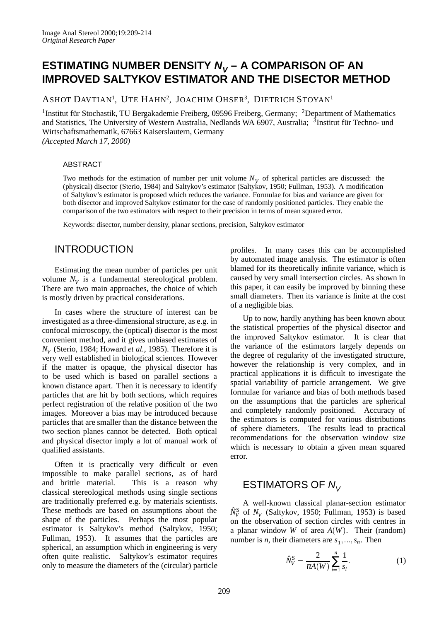# **ESTIMATING NUMBER DENSITY**  $N_v - A$  **COMPARISON OF AN IMPROVED SALTYKOV ESTIMATOR AND THE DISECTOR METHOD**

ASHOT DAVTIAN<sup>1</sup>, UTE HAHN<sup>2</sup>, JOACHIM OHSER<sup>3</sup>, DIETRICH STOYAN<sup>1</sup>

<sup>1</sup>Institut für Stochastik, TU Bergakademie Freiberg, 09596 Freiberg, Germany; <sup>2</sup>Department of Mathematics and Statistics, The University of Western Australia, Nedlands WA 6907, Australia; <sup>3</sup>Institut für Techno- und Wirtschaftsmathematik, 67663 Kaiserslautern, Germany *(Accepted March 17, 2000)*

### ABSTRACT

Two methods for the estimation of number per unit volume  $N_V$  of spherical particles are discussed: the (physical) disector (Sterio, 1984) and Saltykov's estimator (Saltykov, 1950; Fullman, 1953). A modification of Saltykov's estimator is proposed which reduces the variance. Formulae for bias and variance are given for both disector and improved Saltykov estimator for the case of randomly positioned particles. They enable the comparison of the two estimators with respect to their precision in terms of mean squared error.

Keywords: disector, number density, planar sections, precision, Saltykov estimator

## INTRODUCTION

Estimating the mean number of particles per unit volume  $N_V$  is a fundamental stereological problem. There are two main approaches, the choice of which is mostly driven by practical considerations.

In cases where the structure of interest can be investigated as a three-dimensional structure, as e.g. in confocal microscopy, the (optical) disector is the most convenient method, and it gives unbiased estimates of *NV* (Sterio, 1984; Howard *et al.*, 1985). Therefore it is very well established in biological sciences. However if the matter is opaque, the physical disector has to be used which is based on parallel sections a known distance apart. Then it is necessary to identify particles that are hit by both sections, which requires perfect registration of the relative position of the two images. Moreover a bias may be introduced because particles that are smaller than the distance between the two section planes cannot be detected. Both optical and physical disector imply a lot of manual work of qualified assistants.

Often it is practically very difficult or even impossible to make parallel sections, as of hard and brittle material. This is a reason why classical stereological methods using single sections are traditionally preferred e.g. by materials scientists. These methods are based on assumptions about the shape of the particles. Perhaps the most popular estimator is Saltykov's method (Saltykov, 1950; Fullman, 1953). It assumes that the particles are spherical, an assumption which in engineering is very often quite realistic. Saltykov's estimator requires only to measure the diameters of the (circular) particle profiles. In many cases this can be accomplished by automated image analysis. The estimator is often blamed for its theoretically infinite variance, which is caused by very small intersection circles. As shown in this paper, it can easily be improved by binning these small diameters. Then its variance is finite at the cost of a negligible bias.

Up to now, hardly anything has been known about the statistical properties of the physical disector and the improved Saltykov estimator. It is clear that the variance of the estimators largely depends on the degree of regularity of the investigated structure, however the relationship is very complex, and in practical applications it is difficult to investigate the spatial variability of particle arrangement. We give formulae for variance and bias of both methods based on the assumptions that the particles are spherical and completely randomly positioned. Accuracy of the estimators is computed for various distributions of sphere diameters. The results lead to practical recommendations for the observation window size which is necessary to obtain a given mean squared error.

# ESTIMATORS OF  $N_{V}$

A well-known classical planar-section estimator  $\hat{N}_V^S$  of  $N_V$  (Saltykov, 1950; Fullman, 1953) is based on the observation of section circles with centres in a planar window *W* of area  $A(W)$ . Their (random) number is *n*, their diameters are  $s_1, \ldots, s_n$ . Then

$$
\hat{N}_V^{\rm S} = \frac{2}{\pi A(W)} \sum_{i=1}^n \frac{1}{s_i}.
$$
 (1)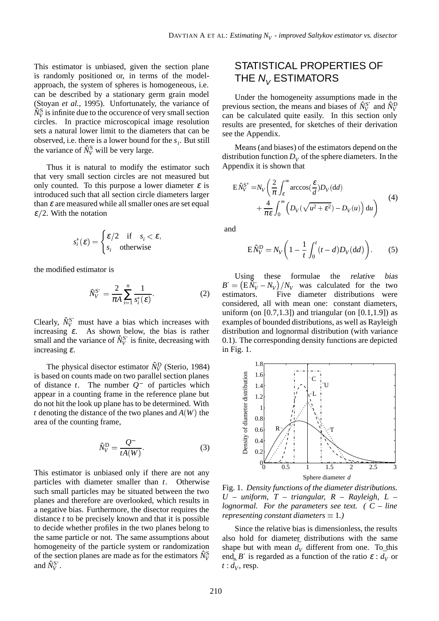This estimator is unbiased, given the section plane is randomly positioned or, in terms of the modelapproach, the system of spheres is homogeneous, i.e. can be described by a stationary germ grain model (Stoyan *et al.*, 1995). Unfortunately, the variance of  $\hat{N}_V^{\text{S}}$  is infinite due to the occurence of very small section circles. In practice microscopical image resolution sets a natural lower limit to the diameters that can be observed, i.e. there is a lower bound for the  $s_i$ . But still the variance of  $\hat{N}_V^S$  will be very large.

Thus it is natural to modify the estimator such that very small section circles are not measured but only counted. To this purpose a lower diameter  $\varepsilon$  is introduced such that all section circle diameters larger than  $\varepsilon$  are measured while all smaller ones are set equal  $\epsilon/2$ . With the notation

$$
s_i^*(\varepsilon) = \begin{cases} \varepsilon/2 & \text{if } s_i < \varepsilon, \\ s_i & \text{otherwise} \end{cases}
$$

the modified estimator is

$$
\hat{N}_V^{\mathbf{S}^*} = \frac{2}{\pi A} \sum_{i=1}^n \frac{1}{s_i^* (\varepsilon)}.
$$
 (2)

Clearly,  $\hat{N}_V^{S^*}$  must have a bias which increases with increasing  $\varepsilon$ . As shown below, the bias is rather small and the variance of  $\hat{N}_V^{S^*}$  is finite, decreasing with increasing  $\varepsilon$ .

The physical disector estimator  $\hat{N}_V^D$  (Sterio, 1984) is based on counts made on two parallel section planes of distance  $t$ . The number  $Q^-$  of particles which appear in a counting frame in the reference plane but do not hit the look up plane has to be determined. With *t* denoting the distance of the two planes and  $A(W)$  the area of the counting frame,

$$
\hat{N}_V^{\rm D} = \frac{Q^-}{tA(W)}.\tag{3}
$$

This estimator is unbiased only if there are not any particles with diameter smaller than *t*. Otherwise such small particles may be situated between the two planes and therefore are overlooked, which results in a negative bias. Furthermore, the disector requires the distance *t* to be precisely known and that it is possible to decide whether profiles in the two planes belong to the same particle or not. The same assumptions about homogeneity of the particle system or randomization of the section planes are made as for the estimators  $\hat{N}_V^{\rm S}$ and  $\hat{N}_V^{\text{S}^*}$ .

# STATISTICAL PROPERTIES OF THE  $N_V$  ESTIMATORS

Under the homogeneity assumptions made in the previous section, the means and biases of  $\hat{N}_V^{\text{S}^*}$  and  $\hat{N}_V^{\text{D}}$ can be calculated quite easily. In this section only results are presented, for sketches of their derivation see the Appendix.

Means (and biases) of the estimators depend on the distribution function  $D_V$  of the sphere diameters. In the Appendix it is shown that

$$
E\hat{N}_V^{\mathcal{S}^*} = N_V \left( \frac{2}{\pi} \int_{\varepsilon}^{\infty} \arccos(\frac{\varepsilon}{d}) D_V(\mathrm{d}d) + \frac{4}{\pi \varepsilon} \int_0^{\infty} \left( D_V(\sqrt{u^2 + \varepsilon^2}) - D_V(u) \right) \mathrm{d}u \right)
$$
(4)

and

$$
\mathbf{E}\hat{N}_V^{\mathbf{D}} = N_V \left(1 - \frac{1}{t} \int_0^t (t - d) D_V(\mathbf{d}d)\right). \tag{5}
$$

Using these formulae the relative bias  $B = (E \tilde{N}_V - N_V) / N_V$  was calculated for the two estimators. Five diameter distributions were considered, all with mean one: constant diameters, uniform (on  $[0.7,1.3]$ ) and triangular (on  $[0.1,1.9]$ ) as examples of bounded distributions, as well as Rayleigh distribution and lognormal distribution (with variance 0.1). The corresponding density functions are depicted in Fig. 1.



Fig. 1. *Density functions of the diameter distributions. U – uniform, T – triangular, R – Rayleigh, L – lognormal. For the parameters see text. ( C – line representing constant diameters*  $\equiv$  1.)

Since the relative bias is dimensionless, the results also hold for diameter distributions with the same shape but with mean  $\bar{d}_V$  different from one. To this end, *B* is regarded as a function of the ratio  $\varepsilon$  :  $\bar{d}_V$  or  $t : \bar{d}_V$ , resp.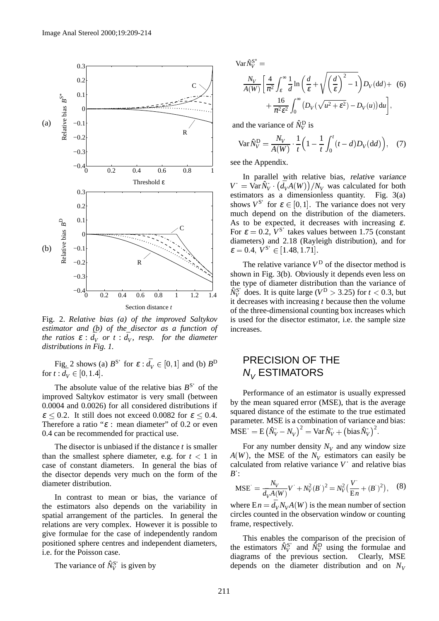

Fig. 2. *Relative bias (a) of the improved Saltykov estimator and (b) of the disector as a function of*  $\iota$  *the ratios*  $\varepsilon$  :  $\overline{d}_V$  *or t* :  $\overline{d}_V$ *, resp. for the diameter distributions in Fig. 1.*

Fig. 2 shows (a)  $B^{S^*}$  for  $\varepsilon : \bar{d}_V \in [0, 1]$  and (b)  $B^D$ for  $t : d_V \in [0, 1.4]$ .

The absolute value of the relative bias  $B^{S^*}$  of the improved Saltykov estimator is very small (between 0.0004 and 0.0026) for all considered distributions if  $\epsilon \leq 0.2$ . It still does not exceed 0.0082 for  $\epsilon \leq 0.4$ . Therefore a ratio " $\varepsilon$  : mean diameter" of 0.2 or even 0.4 can be recommended for practical use.

The disector is unbiased if the distance *t* is smaller than the smallest sphere diameter, e.g. for  $t < 1$  in case of constant diameters. In general the bias of the disector depends very much on the form of the diameter distribution.

In contrast to mean or bias, the variance of the estimators also depends on the variability in spatial arrangement of the particles. In general the relations are very complex. However it is possible to give formulae for the case of independently random positioned sphere centres and independent diameters, i.e. for the Poisson case.

The variance of  $\hat{N}_V^{\text{S}^*}$  is given by

 $Var\hat{N}_V^{\mathbf{S}^*} =$ 

$$
\frac{N_V}{A(W)} \left[ \frac{4}{\pi^2} \int_{\varepsilon}^{\infty} \frac{1}{d} \ln \left( \frac{d}{\varepsilon} + \sqrt{\left( \frac{d}{\varepsilon} \right)^2 - 1} \right) D_V(\mathrm{d}d) + (6) + \frac{16}{\pi^2 \varepsilon^2} \int_0^{\infty} \left( D_V(\sqrt{u^2 + \varepsilon^2}) - D_V(u) \right) \mathrm{d}u \right],
$$

and the variance of  $\hat{N}_V^D$  is

$$
\text{Var}\,\hat{N}_V^D = \frac{N_V}{A(W)} \cdot \frac{1}{t} \left( 1 - \frac{1}{t} \int_0^t (t - d) D_V(\text{d}d) \right), \quad (7)
$$

see the Appendix.

In parallel with relative bias, relative variance  $V = \text{Var} \hat{N}_V \cdot (\bar{d}_V A(W)) / N_V$  was calculated for both estimators as a dimensionless quantity. Fig. 3(a) shows  $V^{S^*}$  for  $\varepsilon \in [0, 1]$ . The variance does not very much depend on the distribution of the diameters. As to be expected, it decreases with increasing  $\varepsilon$ . For  $\varepsilon = 0.2$ ,  $V^{S^*}$  takes values between 1.75 (constant diameters) and 2.18 (Rayleigh distribution), and for  $\varepsilon = 0.4$ ,  $V^{S^*} \in [1.48, 1.71]$ .

The relative variance  $V^D$  of the disector method is shown in Fig. 3(b). Obviously it depends even less on the type of diameter distribution than the variance of  $\hat{N}_V^{S^*}$  does. It is quite large (*V*<sup>D</sup> > 3.25) for *t* < 0.3, but it decreases with increasing *t* because then the volume of the three-dimensional counting box increases which is used for the disector estimator, i.e. the sample size increases.

## PRECISION OF THE  $N_{V}$  ESTIMATORS

Performance of an estimator is usually expressed by the mean squared error (MSE), that is the average squared distance of the estimate to the true estimated parameter. MSE is a combination of variance and bias:  $\text{MSE}^{\cdot} = \text{E} (\hat{N}_V - N_V)^2 = \text{Var} \hat{N}_V + \left(\text{bias} \hat{N}_V\right)^2.$ 

For any number density  $N_V$  and any window size  $A(W)$ , the MSE of the  $N_V$  estimators can easily be calculated from relative variance *V* and relative bias *B* :

$$
\text{MSE} = \frac{N_V}{\bar{d}_V A(W)} V + N_V^2 (B)^2 = N_V^2 \left(\frac{V}{\text{E}n} + (B)^2\right), \quad (8)
$$

where  $E n = \bar{d}_V N_V A(W)$  is the mean number of section circles counted in the observation window or counting frame, respectively.

This enables the comparison of the precision of the estimators  $\hat{N}_V^{\mathbf{S}^*}$  and  $\hat{N}_V^{\mathbf{D}}$  using the formulae and diagrams of the previous section. Clearly, MSE depends on the diameter distribution and on  $N_V$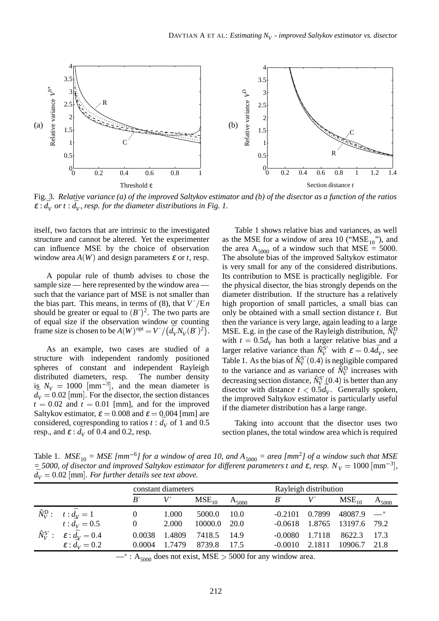

Fig. 3. *Relative variance (a) of the improved Saltykov estimator and (b) of the disector as a function of the ratios*  $\varepsilon$  :  $\bar{d}_V$  *or t* :  $\bar{d}_V$ *, resp. for the diameter distributions in Fig. 1.* 

itself, two factors that are intrinsic to the investigated structure and cannot be altered. Yet the experimenter can influence MSE by the choice of observation window area  $A(W)$  and design parameters  $\varepsilon$  or *t*, resp.

A popular rule of thumb advises to chose the sample size — here represented by the window area such that the variance part of MSE is not smaller than the bias part. This means, in terms of (8), that  $V'/En$ should be greater or equal to  $(B^{\prime})^2$ . The two parts are of equal size if the observation window or counting frame size is chosen to be  $A(W)$  opt =  $V' / (\bar{d}_V N_V(B'))^2$ .

As an example, two cases are studied of a structure with independent randomly positioned spheres of constant and independent Rayleigh distributed diameters, resp. The number density is  $N_V = 1000$  [mm<sup>-3</sup>], and the mean diameter is  $d_V = 0.02$  [mm]. For the disector, the section distances  $t = 0.02$  and  $t = 0.01$  [mm], and for the improved Saltykov estimator,  $\varepsilon = 0.008$  and  $\varepsilon = 0.004$  [mm] are considered, corresponding to ratios  $t : d_V$  of 1 and 0.5 resp., and  $\varepsilon$  :  $\bar{d}_V$  of 0.4 and 0.2, resp.

<sup>2</sup>). MSE. E.g. in the case of the Rayleigh distribution,  $\tilde{N}_V^D$ Table 1 shows relative bias and variances, as well as the MSE for a window of area 10 (" $MSE<sub>10</sub>$ "), and the area  $A_{5000}$  of a window such that MSE = 5000. The absolute bias of the improved Saltykov estimator is very small for any of the considered distributions. Its contribution to MSE is practically negligible. For the physical disector, the bias strongly depends on the diameter distribution. If the structure has a relatively high proportion of small particles, a small bias can only be obtained with a small section distance *t*. But then the variance is very large, again leading to a large with  $t = 0.5\bar{d}_V$  has both a larger relative bias and a larger relative variance than  $\hat{N}_V^{S^*}$  with  $\varepsilon = 0.4 \bar{d}_V$ , see Table 1. As the bias of  $\hat{N}_V^{\mathbf{S}^*}(0.4)$  is negligible compared to the variance and as variance of  $\hat{N}_V^D$  increases with decreasing section distance,  $\hat{N}_V^{\text{S}^*}(0.4)$  is better than any disector with distance  $t < 0.5d_v$ . Generally spoken, the improved Saltykov estimator is particularly useful if the diameter distribution has a large range.

Taking into account that the disector uses two section planes, the total window area which is required

Table 1.  $MSE_{10} = MSE [mm^{-6}]$  for a window of area 10, and  $A_{5000} = area [mm^2]$  of a window such that MSE  $=$  5000, of disector and improved Saltykov estimator for different parameters t and  $\varepsilon$ , resp.  $N_V = 1000$  [mm<sup>-3</sup>],  $\bar{d}_V = 0.02$  [mm]*. For further details see text above.* 

|                       |                                                        | constant diameters |        |            |            | Rayleigh distribution |        |                          |            |
|-----------------------|--------------------------------------------------------|--------------------|--------|------------|------------|-----------------------|--------|--------------------------|------------|
|                       |                                                        | B                  | V      | $MSE_{10}$ | $A_{5000}$ | $B^{\cdot}$           |        | MSE <sub>10</sub>        | $A_{5000}$ |
| $\hat{N}^{\rm D}_V$ : |                                                        | 0                  | 1.000  | 5000.0     | - 10.0     | $-0.2101$ $0.7899$    |        | $48087.9$ $-$            |            |
|                       | $t : d_V = 1$<br>$t : d_V = 0.5$                       | $\mathbf{0}$       | 2.000  | 10000.0    | 20.0       |                       |        | $-0.0618$ 1.8765 13197.6 | 79.2       |
|                       | $\hat{N}_V^{\rm S^*}: \quad \varepsilon:\bar{d}_V=0.4$ | 0.0038             | 1.4809 | 7418.5     | -14.9      | $-0.0080$ 1.7118      |        | 8622.3                   | 17.3       |
|                       | $\epsilon$ : $\overrightarrow{d_V}$ = 0.2              | 0.0004             | 1.7479 | 8739.8     | 17.5       | $-0.0010$             | 2.1811 | 10906.7                  | 21.8       |

 $-^*$ : A<sub>5000</sub> does not exist, MSE > 5000 for any window area.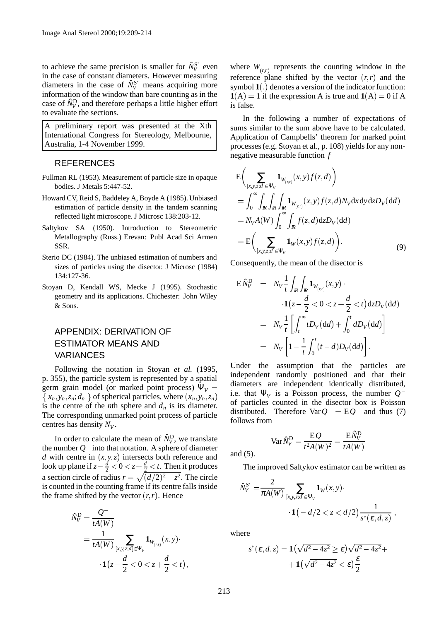to achieve the same precision is smaller for  $\hat{N}_V^{S^*}$  even in the case of constant diameters. However measuring diameters in the case of  $\hat{N}_V^{\text{S}^*}$  means acquiring more information of the window than bare counting as in the case of  $\hat{N}_V^D$ , and therefore perhaps a little higher effort to evaluate the sections.

A preliminary report was presented at the Xth International Congress for Stereology, Melbourne, Australia, 1-4 November 1999.

### REFERENCES

- Fullman RL (1953). Measurement of particle size in opaque bodies. J Metals 5:447-52.
- Howard CV, Reid S, Baddeley A, Boyde A (1985). Unbiased estimation of particle density in the tandem scanning reflected light microscope. J Microsc 138:203-12.
- Saltykov SA (1950). Introduction to Stereometric Metallography (Russ.) Erevan: Publ Acad Sci Armen SSR.
- Sterio DC (1984). The unbiased estimation of numbers and sizes of particles using the disector. J Microsc (1984) 134:127-36.
- Stoyan D, Kendall WS, Mecke J (1995). Stochastic geometry and its applications. Chichester: John Wiley & Sons.

## APPENDIX: DERIVATION OF ESTIMATOR MEANS AND VARIANCES

Following the notation in Stoyan *et al.* (1995, p. 355), the particle system is represented by a spatial germ grain model (or marked point process)  $\Psi_V$  =  $\{[x_n, y_n, z_n; d_n]\}$  of spherical particles, where  $(x_n, y_n, z_n)$ is the centre of the *n*th sphere and  $d_n$  is its diameter. The corresponding unmarked point process of particle centres has density  $N_V$ .

In order to calculate the mean of  $\hat{N}_V^D$ , we translate the number  $Q^-$  into that notation. A sphere of diameter *d* with centre in  $(x, y, z)$  intersects both reference and look up plane if  $z - \frac{d}{2} < 0 < z + \frac{d}{2} < t$ . Then it produces a section circle of radius  $r = \sqrt{\frac{d}{2^2 - z^2}}$ . The circle is counted in the counting frame if its centre falls inside the frame shifted by the vector  $(r, r)$ . Hence

$$
\hat{N}_V^{\text{D}} = \frac{Q^-}{tA(W)}
$$
\n
$$
= \frac{1}{tA(W)} \sum_{[x,y,z;d] \in \Psi_V} \mathbf{1}_{W_{(r,r)}}(x,y) \cdot \mathbf{1}(z - \frac{d}{2} < 0 < z + \frac{d}{2} < t),
$$

where  $W_{(r,r)}$  represents the counting window in the reference plane shifted by the vector  $(r, r)$  and the symbol  $\mathbf{1}(.)$  denotes a version of the indicator function:  $1(A) = 1$  if the expression A is true and  $1(A) = 0$  if A is false.

In the following a number of expectations of sums similar to the sum above have to be calculated. Application of Campbells' theorem for marked point processes (e.g. Stoyan et al., p. 108) yields for any nonnegative measurable function *f*

$$
E\left(\sum_{\{x,y,z;d\}\in\Psi_V}\mathbf{1}_{W_{(r,r)}}(x,y)f(z,d)\right)
$$
  
\n
$$
=\int_0^\infty\int_R\int_R\int_R\mathbf{1}_{W_{(r,r)}}(x,y)f(z,d)N_VdxdydzD_V(dd)
$$
  
\n
$$
=N_VA(W)\int_0^\infty\int_Rf(z,d)dzD_V(dd)
$$
  
\n
$$
=E\left(\sum_{[x,y,z;d]\in\Psi_V}\mathbf{1}_W(x,y)f(z,d)\right).
$$
 (9)

Consequently, the mean of the disector is

$$
\begin{array}{rcl}\n\mathbf{E} \hat{N}_{V}^{\mathrm{D}} & = & N_{V} \frac{1}{t} \int_{I\!\!R} \int_{I\!\!R} \mathbf{1}_{W_{(r,r)}}(x, y) \, \cdot \\
& \cdot \mathbf{1}(z - \frac{d}{2} < 0 < z + \frac{d}{2} < t) \, \mathrm{d}z D_{V}(\mathrm{d}d) \\
& = & N_{V} \frac{1}{t} \left[ \int_{t}^{\infty} t D_{V}(\mathrm{d}d) + \int_{0}^{t} dD_{V}(\mathrm{d}d) \right] \\
& = & N_{V} \left[ 1 - \frac{1}{t} \int_{0}^{t} (t - d) D_{V}(\mathrm{d}d) \right].\n\end{array}
$$

Under the assumption that the particles are independent randomly positioned and that their diameters are independent identically distributed, i.e. that  $\Psi_V$  is a Poisson process, the number  $Q^$ of particles counted in the disector box is Poisson distributed. Therefore  $\text{Var} Q^- = \text{E} Q^-$  and thus (7) follows from

$$
\text{Var}\hat{N}_V^{\text{D}} = \frac{\text{E}Q^-}{t^2A(W)^2} = \frac{\text{E}\hat{N}_V^{\text{D}}}{tA(W)}
$$

and (5).

The improved Saltykov estimator can be written as

$$
\hat{N}_V^{S^*} = \frac{2}{\pi A(W)} \sum_{[x,y,z;d] \in \Psi_V} \mathbf{1}_W(x,y) \cdot \mathbf{1}(-d/2 < z < d/2) \frac{1}{s^*(\varepsilon, d, z)},
$$

where

$$
s^*(\varepsilon, d, z) = \mathbf{1}\left(\sqrt{d^2 - 4z^2} \ge \varepsilon\right)\sqrt{d^2 - 4z^2} + \mathbf{1}\left(\sqrt{d^2 - 4z^2} < \varepsilon\right)\frac{\varepsilon}{2}
$$